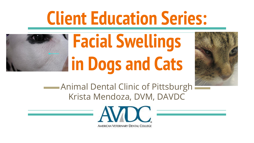## **Client Education Series:**



# **Facial Swellings in Dogs and Cats**



Animal Dental Clinic of Pittsburgh Krista Mendoza, DVM, DAVDC

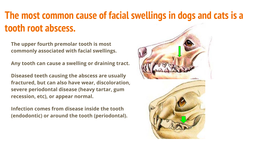## **The most common cause of facial swellings in dogs and cats is a tooth root abscess.**

**The upper fourth premolar tooth is most commonly associated with facial swellings.**

**Any tooth can cause a swelling or draining tract.** 

**Diseased teeth causing the abscess are usually fractured, but can also have wear, discoloration, severe periodontal disease (heavy tartar, gum recession, etc), or appear normal.** 

**Infection comes from disease inside the tooth (endodontic) or around the tooth (periodontal).**



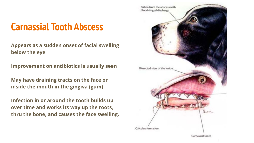## **Carnassial Tooth Abscess**

**Appears as a sudden onset of facial swelling below the eye**

**Improvement on antibiotics is usually seen**

**May have draining tracts on the face or inside the mouth in the gingiva (gum)**

**Infection in or around the tooth builds up over time and works its way up the roots, thru the bone, and causes the face swelling.**

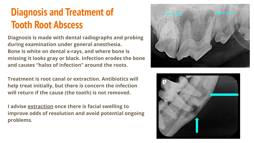## **Diagnosis and Treatment of Tooth Root Abscess**

**Diagnosis is made with dental radiographs and probing during examination under general anesthesia. Bone is white on dental x-rays, and where bone is missing it looks gray or black. Infection erodes the bone and causes "halos of infection" around the roots.**

**Treatment is root canal or extraction. Antibiotics will help treat initially, but there is concern the infection will return if the cause (the tooth) is not removed.** 

**I advise extraction once there is facial swelling to improve odds of resolution and avoid potential ongoing problems.** 



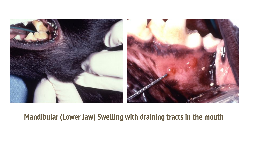

#### **Mandibular (Lower Jaw) Swelling with draining tracts in the mouth**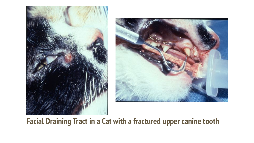



#### **Facial Draining Tract in a Cat with a fractured upper canine tooth**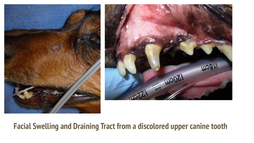



#### **Facial Swelling and Draining Tract from a discolored upper canine tooth**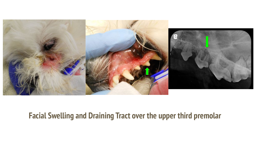

#### **Facial Swelling and Draining Tract over the upper third premolar**